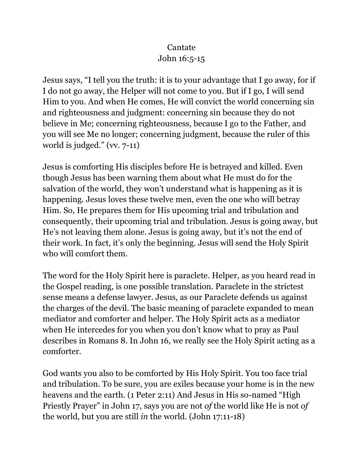## Cantate John 16:5-15

Jesus says, "I tell you the truth: it is to your advantage that I go away, for if I do not go away, the Helper will not come to you. But if I go, I will send Him to you. And when He comes, He will convict the world concerning sin and righteousness and judgment: concerning sin because they do not believe in Me; concerning righteousness, because I go to the Father, and you will see Me no longer; concerning judgment, because the ruler of this world is judged." (vv. 7-11)

Jesus is comforting His disciples before He is betrayed and killed. Even though Jesus has been warning them about what He must do for the salvation of the world, they won't understand what is happening as it is happening. Jesus loves these twelve men, even the one who will betray Him. So, He prepares them for His upcoming trial and tribulation and consequently, their upcoming trial and tribulation. Jesus is going away, but He's not leaving them alone. Jesus is going away, but it's not the end of their work. In fact, it's only the beginning. Jesus will send the Holy Spirit who will comfort them.

The word for the Holy Spirit here is paraclete. Helper, as you heard read in the Gospel reading, is one possible translation. Paraclete in the strictest sense means a defense lawyer. Jesus, as our Paraclete defends us against the charges of the devil. The basic meaning of paraclete expanded to mean mediator and comforter and helper. The Holy Spirit acts as a mediator when He intercedes for you when you don't know what to pray as Paul describes in Romans 8. In John 16, we really see the Holy Spirit acting as a comforter.

God wants you also to be comforted by His Holy Spirit. You too face trial and tribulation. To be sure, you are exiles because your home is in the new heavens and the earth. (1 Peter 2:11) And Jesus in His so-named "High Priestly Prayer" in John 17, says you are not *of* the world like He is not *of* the world, but you are still *in* the world. (John 17:11-18)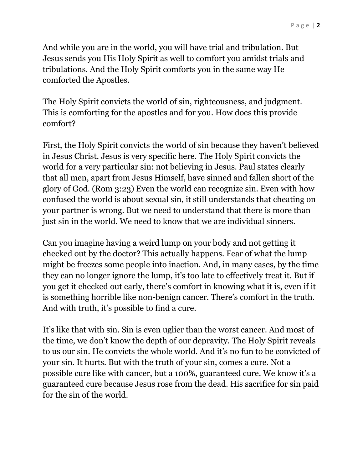And while you are in the world, you will have trial and tribulation. But Jesus sends you His Holy Spirit as well to comfort you amidst trials and tribulations. And the Holy Spirit comforts you in the same way He comforted the Apostles.

The Holy Spirit convicts the world of sin, righteousness, and judgment. This is comforting for the apostles and for you. How does this provide comfort?

First, the Holy Spirit convicts the world of sin because they haven't believed in Jesus Christ. Jesus is very specific here. The Holy Spirit convicts the world for a very particular sin: not believing in Jesus. Paul states clearly that all men, apart from Jesus Himself, have sinned and fallen short of the glory of God. (Rom 3:23) Even the world can recognize sin. Even with how confused the world is about sexual sin, it still understands that cheating on your partner is wrong. But we need to understand that there is more than just sin in the world. We need to know that we are individual sinners.

Can you imagine having a weird lump on your body and not getting it checked out by the doctor? This actually happens. Fear of what the lump might be freezes some people into inaction. And, in many cases, by the time they can no longer ignore the lump, it's too late to effectively treat it. But if you get it checked out early, there's comfort in knowing what it is, even if it is something horrible like non-benign cancer. There's comfort in the truth. And with truth, it's possible to find a cure.

It's like that with sin. Sin is even uglier than the worst cancer. And most of the time, we don't know the depth of our depravity. The Holy Spirit reveals to us our sin. He convicts the whole world. And it's no fun to be convicted of your sin. It hurts. But with the truth of your sin, comes a cure. Not a possible cure like with cancer, but a 100%, guaranteed cure. We know it's a guaranteed cure because Jesus rose from the dead. His sacrifice for sin paid for the sin of the world.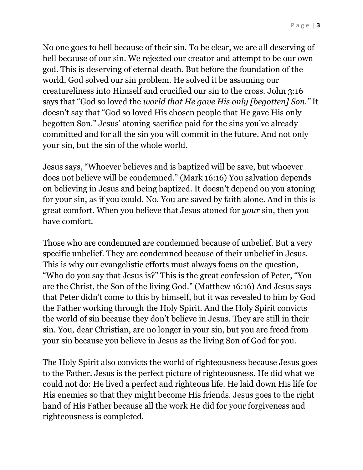No one goes to hell because of their sin. To be clear, we are all deserving of hell because of our sin. We rejected our creator and attempt to be our own god. This is deserving of eternal death. But before the foundation of the world, God solved our sin problem. He solved it be assuming our creatureliness into Himself and crucified our sin to the cross. John 3:16 says that "God so loved the *world that He gave His only [begotten] Son."* It doesn't say that "God so loved His chosen people that He gave His only begotten Son." Jesus' atoning sacrifice paid for the sins you've already committed and for all the sin you will commit in the future. And not only your sin, but the sin of the whole world.

Jesus says, "Whoever believes and is baptized will be save, but whoever does not believe will be condemned." (Mark 16:16) You salvation depends on believing in Jesus and being baptized. It doesn't depend on you atoning for your sin, as if you could. No. You are saved by faith alone. And in this is great comfort. When you believe that Jesus atoned for *your* sin, then you have comfort.

Those who are condemned are condemned because of unbelief. But a very specific unbelief. They are condemned because of their unbelief in Jesus. This is why our evangelistic efforts must always focus on the question, "Who do you say that Jesus is?" This is the great confession of Peter, "You are the Christ, the Son of the living God." (Matthew 16:16) And Jesus says that Peter didn't come to this by himself, but it was revealed to him by God the Father working through the Holy Spirit. And the Holy Spirit convicts the world of sin because they don't believe in Jesus. They are still in their sin. You, dear Christian, are no longer in your sin, but you are freed from your sin because you believe in Jesus as the living Son of God for you.

The Holy Spirit also convicts the world of righteousness because Jesus goes to the Father. Jesus is the perfect picture of righteousness. He did what we could not do: He lived a perfect and righteous life. He laid down His life for His enemies so that they might become His friends. Jesus goes to the right hand of His Father because all the work He did for your forgiveness and righteousness is completed.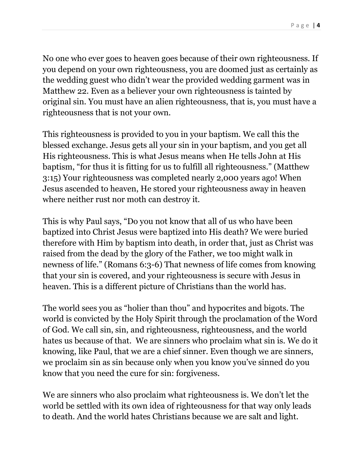P a g e | **4**

No one who ever goes to heaven goes because of their own righteousness. If you depend on your own righteousness, you are doomed just as certainly as the wedding guest who didn't wear the provided wedding garment was in Matthew 22. Even as a believer your own righteousness is tainted by original sin. You must have an alien righteousness, that is, you must have a righteousness that is not your own.

This righteousness is provided to you in your baptism. We call this the blessed exchange. Jesus gets all your sin in your baptism, and you get all His righteousness. This is what Jesus means when He tells John at His baptism, "for thus it is fitting for us to fulfill all righteousness." (Matthew 3:15) Your righteousness was completed nearly 2,000 years ago! When Jesus ascended to heaven, He stored your righteousness away in heaven where neither rust nor moth can destroy it.

This is why Paul says, "Do you not know that all of us who have been baptized into Christ Jesus were baptized into His death? We were buried therefore with Him by baptism into death, in order that, just as Christ was raised from the dead by the glory of the Father, we too might walk in newness of life." (Romans 6:3-6) That newness of life comes from knowing that your sin is covered, and your righteousness is secure with Jesus in heaven. This is a different picture of Christians than the world has.

The world sees you as "holier than thou" and hypocrites and bigots. The world is convicted by the Holy Spirit through the proclamation of the Word of God. We call sin, sin, and righteousness, righteousness, and the world hates us because of that. We are sinners who proclaim what sin is. We do it knowing, like Paul, that we are a chief sinner. Even though we are sinners, we proclaim sin as sin because only when you know you've sinned do you know that you need the cure for sin: forgiveness.

We are sinners who also proclaim what righteousness is. We don't let the world be settled with its own idea of righteousness for that way only leads to death. And the world hates Christians because we are salt and light.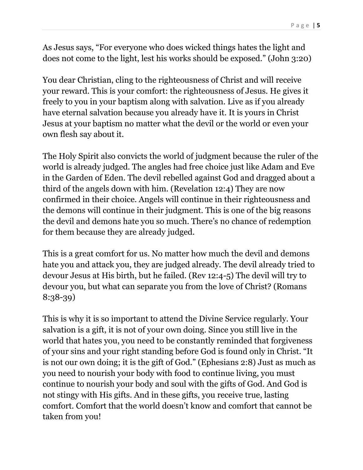As Jesus says, "For everyone who does wicked things hates the light and does not come to the light, lest his works should be exposed." (John 3:20)

You dear Christian, cling to the righteousness of Christ and will receive your reward. This is your comfort: the righteousness of Jesus. He gives it freely to you in your baptism along with salvation. Live as if you already have eternal salvation because you already have it. It is yours in Christ Jesus at your baptism no matter what the devil or the world or even your own flesh say about it.

The Holy Spirit also convicts the world of judgment because the ruler of the world is already judged. The angles had free choice just like Adam and Eve in the Garden of Eden. The devil rebelled against God and dragged about a third of the angels down with him. (Revelation 12:4) They are now confirmed in their choice. Angels will continue in their righteousness and the demons will continue in their judgment. This is one of the big reasons the devil and demons hate you so much. There's no chance of redemption for them because they are already judged.

This is a great comfort for us. No matter how much the devil and demons hate you and attack you, they are judged already. The devil already tried to devour Jesus at His birth, but he failed. (Rev 12:4-5) The devil will try to devour you, but what can separate you from the love of Christ? (Romans 8:38-39)

This is why it is so important to attend the Divine Service regularly. Your salvation is a gift, it is not of your own doing. Since you still live in the world that hates you, you need to be constantly reminded that forgiveness of your sins and your right standing before God is found only in Christ. "It is not our own doing; it is the gift of God." (Ephesians 2:8) Just as much as you need to nourish your body with food to continue living, you must continue to nourish your body and soul with the gifts of God. And God is not stingy with His gifts. And in these gifts, you receive true, lasting comfort. Comfort that the world doesn't know and comfort that cannot be taken from you!